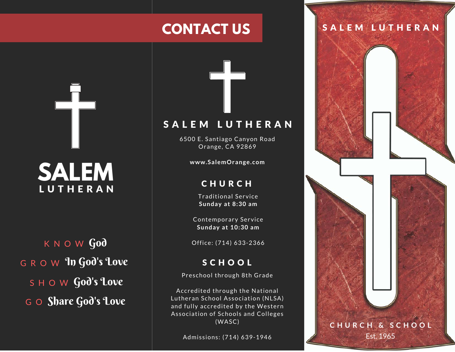# **CONTACT US**

**SALEM LUTHERAN** 

 $K$  N O W  $Go\delta$  $\mathsf G$  R  $\mathsf O$  W  $\operatorname{\mathsf{Y}}\nolimits$  To  $\operatorname{\mathsf{God}}\nolimits'$  God's  $\operatorname{\mathsf{Cove}}\nolimits$  $s$   $\boldsymbol{\vdash}$   $\boldsymbol{\circ}$   $\boldsymbol{\le}$   $\boldsymbol{\lnot}$   $\boldsymbol{\lnot}$   $\boldsymbol{\lnot}$   $\boldsymbol{\lnot}$   $\boldsymbol{\lnot}$   $\boldsymbol{\lnot}$   $\boldsymbol{\lnot}$   $\boldsymbol{\lnot}$   $\boldsymbol{\lnot}$   $\boldsymbol{\lnot}$   $\boldsymbol{\lnot}$   $\boldsymbol{\lnot}$   $\boldsymbol{\lnot}$   $\boldsymbol{\lnot}$   $\boldsymbol{\lnot}$   $\boldsymbol{\lnot}$   $\boldsymbol{\lnot}$   $\boldsymbol{\lnot}$   $\boldsymbol{\lnot}$ G O Share God's Love

## SALEM LUTHERAN

6500 E. Santiago Canyon Road Orange, CA 92869

**w w w . S a l e m O r a n g e . c o m**

#### **CHURCH**

Traditional Service **S u n d a y a t 8 : 3 0 a m**

Contemporary Service **S u n d a y a t 1 0 : 3 0 a m**

Office: (714) 633-2366

### **SCHOOL**

Preschool through 8th Grade

Accredited through the National Lutheran School Association (NLSA) and fully accredited by the Western Association of Schools and Colleges  $(WASC)$ 

Admissions: (714) 639-1946

## S A L E M L U T H E R A N

**C H U R C H & S C H O O L**

Est. 1965